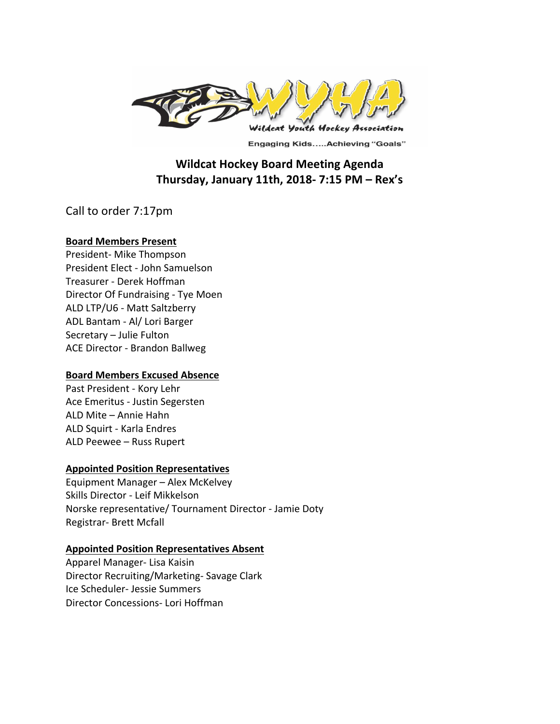

**Engaging Kids.....Achieving "Goals"** 

# **Wildcat Hockey Board Meeting Agenda Thursday, January 11th, 2018- 7:15 PM – Rex's**

Call to order 7:17pm

#### **Board Members Present**

President- Mike Thompson President Elect - John Samuelson Treasurer - Derek Hoffman Director Of Fundraising - Tye Moen ALD LTP/U6 - Matt Saltzberry ADL Bantam - Al/ Lori Barger Secretary - Julie Fulton ACE Director - Brandon Ballweg

## **Board Members Excused Absence**

Past President - Kory Lehr Ace Emeritus - Justin Segersten ALD Mite - Annie Hahn ALD Squirt - Karla Endres ALD Peewee - Russ Rupert

#### **Appointed Position Representatives**

Equipment Manager - Alex McKelvey Skills Director - Leif Mikkelson Norske representative/ Tournament Director - Jamie Doty Registrar- Brett Mcfall

#### **Appointed Position Representatives Absent**

Apparel Manager- Lisa Kaisin Director Recruiting/Marketing- Savage Clark Ice Scheduler- Jessie Summers Director Concessions- Lori Hoffman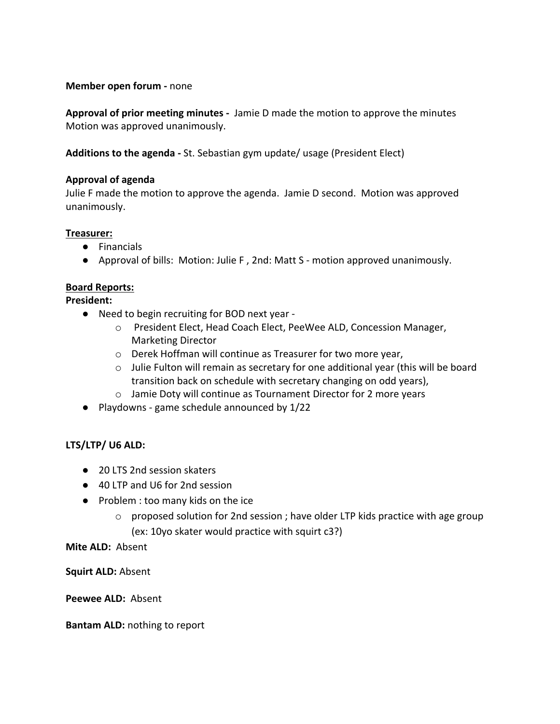#### **Member open forum - none**

**Approval of prior meeting minutes** - Jamie D made the motion to approve the minutes Motion was approved unanimously.

Additions to the agenda - St. Sebastian gym update/ usage (President Elect)

#### **Approval of agenda**

Julie F made the motion to approve the agenda. Jamie D second. Motion was approved unanimously. 

#### **Treasurer:**

- Financials
- Approval of bills: Motion: Julie F, 2nd: Matt S motion approved unanimously.

#### **Board Reports:**

**President:**

- Need to begin recruiting for BOD next year
	- o President Elect, Head Coach Elect, PeeWee ALD, Concession Manager, Marketing Director
	- $\circ$  Derek Hoffman will continue as Treasurer for two more year,
	- $\circ$  Julie Fulton will remain as secretary for one additional year (this will be board transition back on schedule with secretary changing on odd years),
	- $\circ$  Jamie Doty will continue as Tournament Director for 2 more years
- $\bullet$  Playdowns game schedule announced by 1/22

#### LTS/LTP/ U6 ALD:

- 20 LTS 2nd session skaters
- 40 LTP and U6 for 2nd session
- Problem : too many kids on the ice
	- $\circ$  proposed solution for 2nd session ; have older LTP kids practice with age group (ex: 10yo skater would practice with squirt c3?)

**Mite ALD: Absent** 

**Squirt ALD: Absent** 

Peewee ALD: Absent

**Bantam ALD:** nothing to report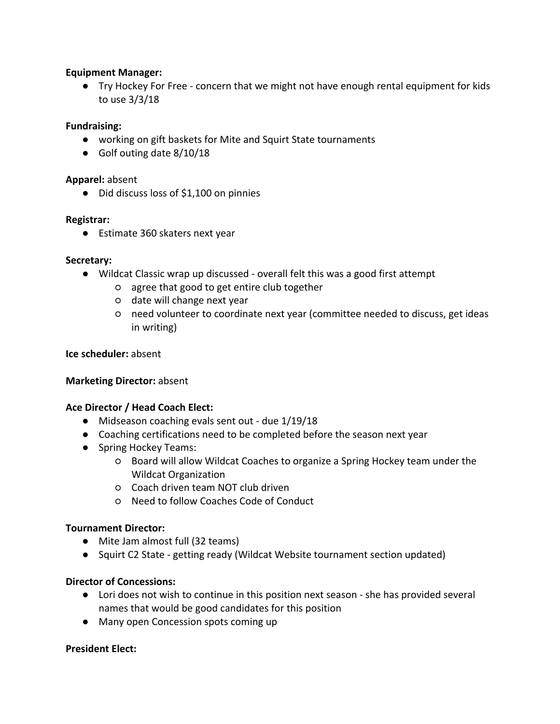#### **Equipment Manager:**

● Try Hockey For Free - concern that we might not have enough rental equipment for kids to use  $3/3/18$ 

#### **Fundraising:**

- working on gift baskets for Mite and Squirt State tournaments
- Golf outing date 8/10/18

#### **Apparel:** absent

● Did discuss loss of \$1,100 on pinnies

#### **Registrar:**

● Estimate 360 skaters next year

#### **Secretary:**

- Wildcat Classic wrap up discussed overall felt this was a good first attempt
	- o agree that good to get entire club together
	- o date will change next year
	- $\circ$  need volunteer to coordinate next year (committee needed to discuss, get ideas in writing)

#### **Ice scheduler:** absent

#### **Marketing Director: absent**

#### **Ace Director / Head Coach Elect:**

- Midseason coaching evals sent out due 1/19/18
- Coaching certifications need to be completed before the season next year
- Spring Hockey Teams:
	- $\circ$  Board will allow Wildcat Coaches to organize a Spring Hockey team under the Wildcat Organization
	- Coach driven team NOT club driven
	- Need to follow Coaches Code of Conduct

#### **Tournament Director:**

- Mite Jam almost full (32 teams)
- Squirt C2 State getting ready (Wildcat Website tournament section updated)

#### **Director of Concessions:**

- Lori does not wish to continue in this position next season she has provided several names that would be good candidates for this position
- Many open Concession spots coming up

#### **President Elect:**